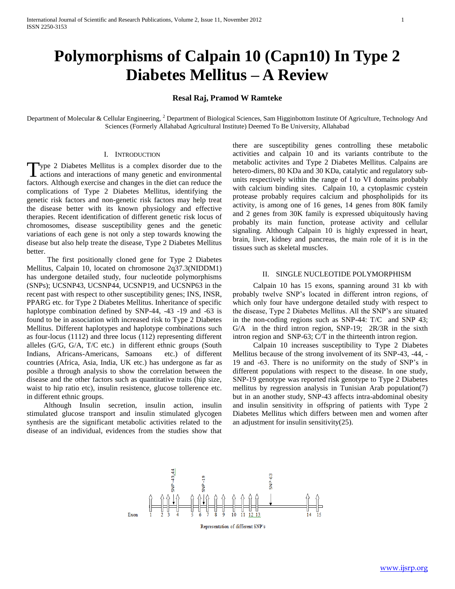# **Polymorphisms of Calpain 10 (Capn10) In Type 2 Diabetes Mellitus – A Review**

## **Resal Raj, Pramod W Ramteke**

Department of Molecular & Cellular Engineering, <sup>2</sup> Department of Biological Sciences, Sam Higginbottom Institute Of Agriculture, Technology And Sciences (Formerly Allahabad Agricultural Institute) Deemed To Be University, Allahabad

#### I. INTRODUCTION

ype 2 Diabetes Mellitus is a complex disorder due to the Type 2 Diabetes Mellitus is a complex disorder due to the actions and interactions of many genetic and environmental factors. Although exercise and changes in the diet can reduce the complications of Type 2 Diabetes Mellitus, identifying the genetic risk factors and non-genetic risk factors may help treat the disease better with its known physiology and effective therapies. Recent identification of different genetic risk locus of chromosomes, disease susceptibility genes and the genetic variations of each gene is not only a step towards knowing the disease but also help treate the disease, Type 2 Diabetes Mellitus better.

 The first positionally cloned gene for Type 2 Diabetes Mellitus, Calpain 10, located on chromosone 2q37.3(NIDDM1) has undergone detailed study, four nucleotide polymorphisms (SNPs); UCSNP43, UCSNP44, UCSNP19, and UCSNP63 in the recent past with respect to other susceptibility genes; INS, INSR, PPARG etc. for Type 2 Diabetes Mellitus. Inheritance of specific haplotype combination defined by SNP-44, -43 -19 and -63 is found to be in association with increased risk to Type 2 Diabetes Mellitus. Different haplotypes and haplotype combinations such as four-locus (1112) and three locus (112) representing different alleles (G/G, G/A, T/C etc.) in different ethnic groups (South Indians, Africans-Americans, Samoans etc.) of different countries (Africa, Asia, India, UK etc.) has undergone as far as posible a through analysis to show the correlation between the disease and the other factors such as quantitative traits (hip size, waist to hip ratio etc), insulin resistence, glucose tollerence etc. in different ethnic groups.

 Although Insulin secretion, insulin action, insulin stimulated glucose transport and insulin stimulated glycogen synthesis are the significant metabolic activities related to the disease of an individual, evidences from the studies show that

there are susceptibility genes controlling these metabolic activities and calpain 10 and its variants contribute to the metabolic activites and Type 2 Diabetes Mellitus. Calpains are hetero-dimers, 80 KDa and 30 KDa, catalytic and regulatory subunits respectively within the range of I to VI domains probably with calcium binding sites. Calpain 10, a cytoplasmic cystein protease probably requires calcium and phospholipids for its activity, is among one of 16 genes, 14 genes from 80K family and 2 genes from 30K family is expressed ubiquitously having probably its main function, protease activity and cellular signaling. Although Calpain 10 is highly expressed in heart, brain, liver, kidney and pancreas, the main role of it is in the tissues such as skeletal muscles.

#### II. SINGLE NUCLEOTIDE POLYMORPHISM

 Calpain 10 has 15 exons, spanning around 31 kb with probably twelve SNP's located in different intron regions, of which only four have undergone detailed study with respect to the disease, Type 2 Diabetes Mellitus. All the SNP's are situated in the non-coding regions such as SNP-44: T/C and SNP 43; G/A in the third intron region, SNP-19; 2R/3R in the sixth intron region and SNP-63; C/T in the thirteenth intron region.

 Calpain 10 increases susceptibility to Type 2 Diabetes Mellitus because of the strong involvement of its SNP-43, -44, - 19 and -63. There is no uniformity on the study of SNP's in different populations with respect to the disease. In one study, SNP-19 genotype was reported risk genotype to Type 2 Diabetes mellitus by regression analysis in Tunisian Arab population(7) but in an another study, SNP-43 affects intra-abdominal obesity and insulin sensitivity in offspring of patients with Type 2 Diabetes Mellitus which differs between men and women after an adjustment for insulin sensitivity(25).



Representation of different SNP's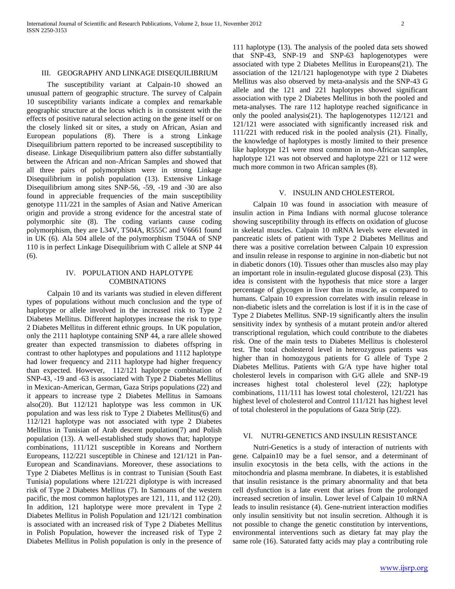The susceptibility variant at Calpain-10 showed an unusual pattern of geographic structure. The survey of Calpain 10 susceptibility variants indicate a complex and remarkable geographic structure at the locus which is in consistent with the effects of positive natural selection acting on the gene itself or on the closely linked sit or sites, a study on African, Asian and European populations (8). There is a strong Linkage Disequilibrium pattern reported to be increased susceptibility to disease. Linkage Disequilibrium pattern also differ substantially between the African and non-African Samples and showed that all three pairs of polymorphism were in strong Linkage Disequilibrium in polish population (13). Extensive Linkage Disequilibrium among sites SNP-56, -59, -19 and -30 are also found in appreciable frequencies of the main susceptibility genotype 111/221 in the samples of Asian and Native American origin and provide a strong evidence for the ancestral state of polymorphic site (8). The coding variants cause coding polymorphism, they are L34V, T504A, R555C and V6661 found in UK (6). Ala 504 allele of the polymorphism T504A of SNP 110 is in perfect Linkage Disequilibrium with C allele at SNP 44 (6).

## IV. POPULATION AND HAPLOTYPE COMBINATIONS

 Calpain 10 and its variants was studied in eleven different types of populations without much conclusion and the type of haplotype or allele involved in the increased risk to Type 2 Diabetes Mellitus. Different haplotypes increase the risk to type 2 Diabetes Mellitus in different ethnic groups. In UK population, only the 2111 haplotype containing SNP 44, a rare allele showed greater than expected transmission to diabetes offspring in contrast to other haplotypes and populations and 1112 haplotype had lower frequency and 2111 haplotype had higher frequency than expected. However, 112/121 haplotype combination of SNP-43, -19 and -63 is associated with Type 2 Diabetes Mellitus in Mexican-American, German, Gaza Strips populations (22) and it appears to increase type 2 Diabetes Mellitus in Samoans also(20). But 112/121 haplotype was less common in UK population and was less risk to Type 2 Diabetes Mellitus(6) and 112/121 haplotype was not associated with type 2 Diabetes Mellitus in Tunisian of Arab descent population(7) and Polish population (13). A well-established study shows that; haplotype combinations, 111/121 susceptible in Koreans and Northern Europeans, 112/221 susceptible in Chinese and 121/121 in Pan-European and Scandinavians. Moreover, these associations to Type 2 Diabetes Mellitus is in contrast to Tunisian (South East Tunisia) populations where 121/221 diplotype is with increased risk of Type 2 Diabetes Mellitus (7). In Samoans of the western pacific, the most common haplotypes are 121, 111, and 112 (20). In addition, 121 haplotype were more prevalent in Type 2 Diabetes Mellitus in Polish Population and 121/121 combination is associated with an increased risk of Type 2 Diabetes Mellitus in Polish Population, however the increased risk of Type 2 Diabetes Mellitus in Polish population is only in the presence of

111 haplotype (13). The analysis of the pooled data sets showed that SNP-43, SNP-19 and SNP-63 haplogenotypes were associated with type 2 Diabetes Mellitus in Europeans(21). The association of the 121/121 haplogenotype with type 2 Diabetes Mellitus was also observed by meta-analysis and the SNP-43 G allele and the 121 and 221 haplotypes showed significant association with type 2 Diabetes Mellitus in both the pooled and meta-analyses. The rare 112 haplotype reached significance in only the pooled analysis(21). The haplogenotypes 112/121 and 121/121 were associated with significantly increased risk and 111/221 with reduced risk in the pooled analysis (21). Finally, the knowledge of haplotypes is mostly limited to their presence like haplotype 121 were most common in non-African samples, haplotype 121 was not observed and haplotype 221 or 112 were much more common in two African samples (8).

#### V. INSULIN AND CHOLESTEROL

 Calpain 10 was found in association with measure of insulin action in Pima Indians with normal glucose tolerance showing susceptibility through its effects on oxidation of glucose in skeletal muscles. Calpain 10 mRNA levels were elevated in pancreatic islets of patient with Type 2 Diabetes Mellitus and there was a positive correlation between Calpain 10 expression and insulin release in response to arginine in non-diabetic but not in diabetic donors (10). Tissues other than muscles also may play an important role in insulin-regulated glucose disposal (23). This idea is consistent with the hypothesis that mice store a larger percentage of glycogen in liver than in muscle, as compared to humans. Calpain 10 expression correlates with insulin release in non-diabetic islets and the correlation is lost if it is in the case of Type 2 Diabetes Mellitus. SNP-19 significantly alters the insulin sensitivity index by synthesis of a mutant protein and/or altered transcriptional regulation, which could contribute to the diabetes risk. One of the main tests to Diabetes Mellitus is cholesterol test. The total cholesterol level in heterozygous patients was higher than in homozygous patients for G allele of Type 2 Diabetes Mellitus. Patients with G/A type have higher total cholesterol levels in comparison with G/G allele and SNP-19 increases highest total cholesterol level (22); haplotype combinations, 111/111 has lowest total cholesterol, 121/221 has highest level of cholesterol and Control 111/121 has highest level of total cholesterol in the populations of Gaza Strip (22).

#### VI. NUTRI-GENETICS AND INSULIN RESISTANCE

 Nutri-Genetics is a study of interaction of nutrients with gene. Calpain10 may be a fuel sensor, and a determinant of insulin exocytosis in the beta cells, with the actions in the mitochondria and plasma membrane. In diabetes, it is established that insulin resistance is the primary abnormality and that beta cell dysfunction is a late event that arises from the prolonged increased secretion of insulin. Lower level of Calpain 10 mRNA leads to insulin resistance (4). Gene-nutrient interaction modifies only insulin sensitivity but not insulin secretion. Although it is not possible to change the genetic constitution by interventions, environmental interventions such as dietary fat may play the same role (16). Saturated fatty acids may play a contributing role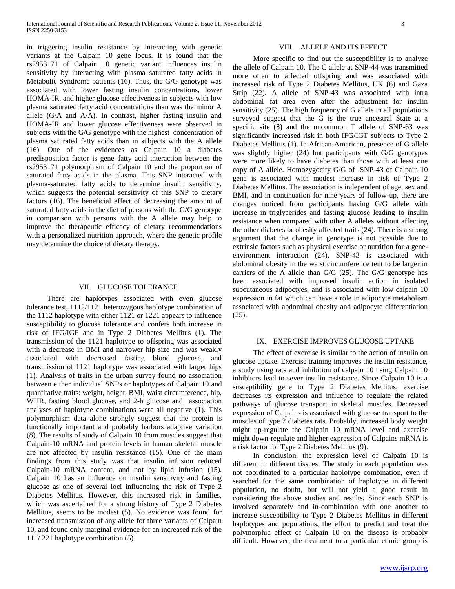in triggering insulin resistance by interacting with genetic variants at the Calpain 10 gene locus. It is found that the rs2953171 of Calpain 10 genetic variant influences insulin sensitivity by interacting with plasma saturated fatty acids in Metabolic Syndrome patients (16). Thus, the G/G genotype was associated with lower fasting insulin concentrations, lower HOMA-IR, and higher glucose effectiveness in subjects with low plasma saturated fatty acid concentrations than was the minor A allele (G/A and A/A). In contrast, higher fasting insulin and HOMA-IR and lower glucose effectiveness were observed in subjects with the G/G genotype with the highest concentration of plasma saturated fatty acids than in subjects with the A allele (16). One of the evidences as Calpain 10 a diabetes predisposition factor is gene–fatty acid interaction between the rs2953171 polymorphism of Calpain 10 and the proportion of saturated fatty acids in the plasma. This SNP interacted with plasma-saturated fatty acids to determine insulin sensitivity, which suggests the potential sensitivity of this SNP to dietary factors (16). The beneficial effect of decreasing the amount of saturated fatty acids in the diet of persons with the G/G genotype in comparison with persons with the A allele may help to improve the therapeutic efficacy of dietary recommendations with a personalized nutrition approach, where the genetic profile may determine the choice of dietary therapy.

## VII. GLUCOSE TOLERANCE

 There are haplotypes associated with even glucose tolerance test, 1112/1121 heterozygous haplotype combination of the 1112 haplotype with either 1121 or 1221 appears to influence susceptibility to glucose tolerance and confers both increase in risk of IFG/IGF and in Type 2 Diabetes Mellitus (1). The transmission of the 1121 haplotype to offspring was associated with a decrease in BMI and narrower hip size and was weakly associated with decreased fasting blood glucose, and transmission of 1121 haplotype was associated with larger hips (1). Analysis of traits in the urban survey found no association between either individual SNPs or haplotypes of Calpain 10 and quantitative traits: weight, height, BMI, waist circumference, hip, WHR, fasting blood glucose, and 2-h glucose and association analyses of haplotype combinations were all negative (1). This polymorphism data alone strongly suggest that the protein is functionally important and probably harbors adaptive variation (8). The results of study of Calpain 10 from muscles suggest that Calpain-10 mRNA and protein levels in human skeletal muscle are not affected by insulin resistance (15). One of the main findings from this study was that insulin infusion reduced Calpain-10 mRNA content, and not by lipid infusion (15). Calpain 10 has an influence on insulin sensitivity and fasting glucose as one of several loci influencing the risk of Type 2 Diabetes Mellitus. However, this increased risk in families, which was ascertained for a strong history of Type 2 Diabetes Mellitus, seems to be modest (5). No evidence was found for increased transmission of any allele for three variants of Calpain 10, and found only marginal evidence for an increased risk of the 111/ 221 haplotype combination (5)

## VIII. ALLELE AND ITS EFFECT

 More specific to find out the susceptibility is to analyze the allele of Calpain 10. The C allele at SNP-44 was transmitted more often to affected offspring and was associated with increased risk of Type 2 Diabetes Mellitus, UK (6) and Gaza Strip (22). A allele of SNP-43 was associated with intra abdominal fat area even after the adjustment for insulin sensitivity (25). The high frequency of G allele in all populations surveyed suggest that the G is the true ancestral State at a specific site (8) and the uncommon T allele of SNP-63 was significantly increased risk in both IFG/IGT subjects to Type 2 Diabetes Mellitus (1). In African-American, presence of G allele was slightly higher (24) but participants with G/G genotypes were more likely to have diabetes than those with at least one copy of A allele. Homozygocity G/G of SNP-43 of Calpain 10 gene is associated with modest increase in risk of Type 2 Diabetes Mellitus. The association is independent of age, sex and BMI, and in continuation for nine years of follow-up, there are changes noticed from participants having G/G allele with increase in triglycerides and fasting glucose leading to insulin resistance when compared with other A alleles without affecting the other diabetes or obesity affected traits (24). There is a strong argument that the change in genotype is not possible due to extrinsic factors such as physical exercise or nutrition for a geneenvironment interaction (24). SNP-43 is associated with abdominal obesity in the waist circumference tent to be larger in carriers of the A allele than G/G (25). The G/G genotype has been associated with improved insulin action in isolated subcutaneous adipoctyes, and is associated with low calpain 10 expression in fat which can have a role in adipocyte metabolism associated with abdominal obesity and adipocyte differentiation (25).

#### IX. EXERCISE IMPROVES GLUCOSE UPTAKE

 The effect of exercise is similar to the action of insulin on glucose uptake. Exercise training improves the insulin resistance, a study using rats and inhibition of calpain 10 using Calpain 10 inhibitors lead to sever insulin resistance. Since Calpain 10 is a susceptibility gene to Type 2 Diabetes Mellitus, exercise decreases its expression and influence to regulate the related pathways of glucose transport in skeletal muscles. Decreased expression of Calpains is associated with glucose transport to the muscles of type 2 diabetes rats. Probably, increased body weight might up-regulate the Calpain 10 mRNA level and exercise might down-regulate and higher expression of Calpains mRNA is a risk factor for Type 2 Diabetes Mellitus (9).

 In conclusion, the expression level of Calpain 10 is different in different tissues. The study in each population was not coordinated to a particular haplotype combination, even if searched for the same combination of haplotype in different population, no doubt, but will not yield a good result in considering the above studies and results. Since each SNP is involved separately and in-combination with one another to increase susceptibility to Type 2 Diabetes Mellitus in different haplotypes and populations, the effort to predict and treat the polymorphic effect of Calpain 10 on the disease is probably difficult. However, the treatment to a particular ethnic group is